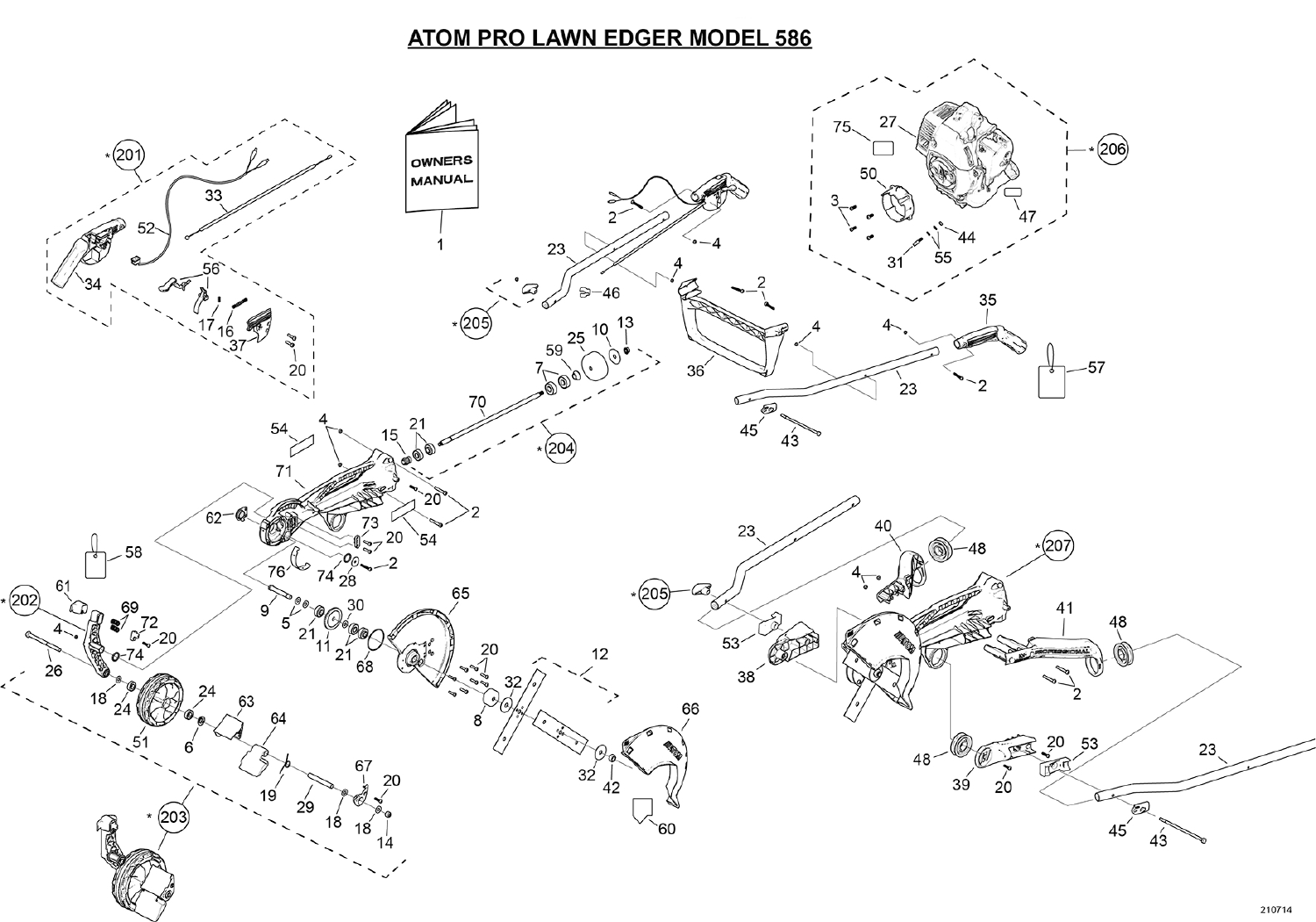## **ATOM PRO LAWN EDGER MODEL 586**